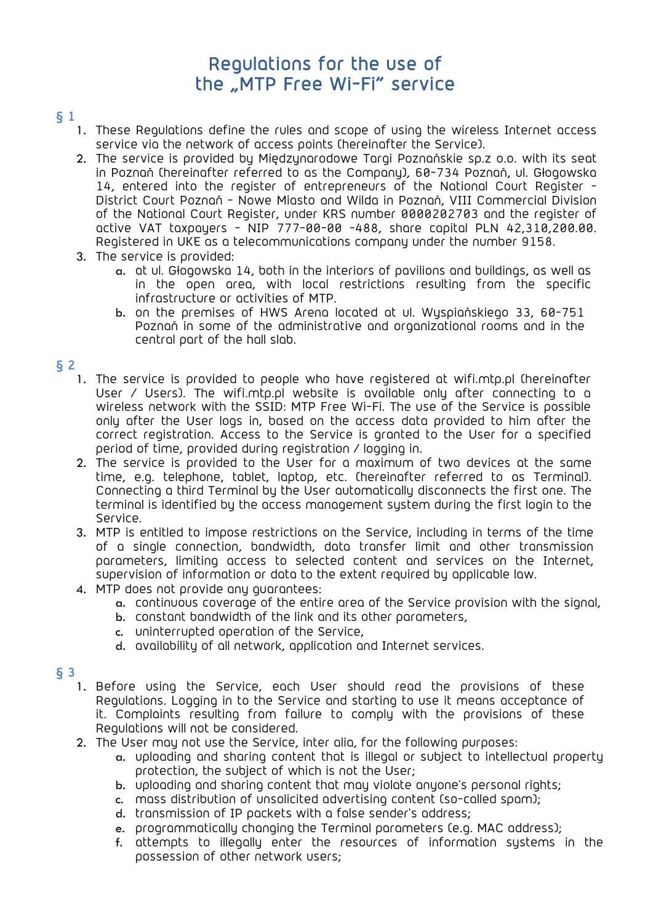# Regulations for the use of the "MTP Free Wi-Fi" service

# § 1

- 1. These Regulations define the rules and scope of using the wireless Internet access service via the network of access points (hereinafter the Service).
- 2. The service is provided by Międzynarodowe Targi Poznańskie sp.z o.o. with its seat in Poznań (hereinafter referred to as the Company), 60-734 Poznań, ul. Głogowska 14, entered into the register of entrepreneurs of the National Court Register - District Court Poznań - Nowe Miasto and Wilda in Poznań, VIII Commercial Division of the National Court Register, under KRS number 0000202703 and the register of active VAT taxpayers - NIP 777-00-00 -488, share capital PLN 42,310,200.00. Registered in UKE as a telecommunications company under the number 9158.
- 3. The service is provided:
	- a. at ul. Głogowska 14, both in the interiors of pavilions and buildings, as well as in the open area, with local restrictions resulting from the specific infrastructure or activities of MTP.
	- b. on the premises of HWS Arena located at ul. Wyspiańskiego 33, 60-751 Poznań in some of the administrative and organizational rooms and in the central part of the hall slab.

## § 2

- 1. The service is provided to people who have registered at wifi.mtp.pl (hereinafter User / Users). The wifi.mtp.pl website is available only after connecting to a wireless network with the SSID: MTP Free Wi-Fi. The use of the Service is possible only after the User logs in, based on the access data provided to him after the correct registration. Access to the Service is granted to the User for a specified period of time, provided during registration / logging in.
- 2. The service is provided to the User for a maximum of two devices at the same time, e.g. telephone, tablet, laptop, etc. (hereinafter referred to as Terminal). Connecting a third Terminal by the User automatically disconnects the first one. The terminal is identified by the access management system during the first login to the Service.
- 3. MTP is entitled to impose restrictions on the Service, including in terms of the time of a single connection, bandwidth, data transfer limit and other transmission parameters, limiting access to selected content and services on the Internet, supervision of information or data to the extent required by applicable law.
- 4. MTP does not provide any guarantees:
	- a. continuous coverage of the entire area of the Service provision with the signal,
	- b. constant bandwidth of the link and its other parameters,
	- c. uninterrupted operation of the Service,
	- d. availability of all network, application and Internet services.

#### § 3

- 1. Before using the Service, each User should read the provisions of these Regulations. Logging in to the Service and starting to use it means acceptance of it. Complaints resulting from failure to comply with the provisions of these Regulations will not be considered.
- 2. The User may not use the Service, inter alia, for the following purposes:
	- a. uploading and sharing content that is illegal or subject to intellectual property protection, the subject of which is not the User;
	- b. uploading and sharing content that may violate anyone's personal rights;
	- c. mass distribution of unsolicited advertising content (so-called spam);
	- d. transmission of IP packets with a false sender's address;
	- e. programmatically changing the Terminal parameters (e.g. MAC address);
	- f. attempts to illegally enter the resources of information systems in the possession of other network users;